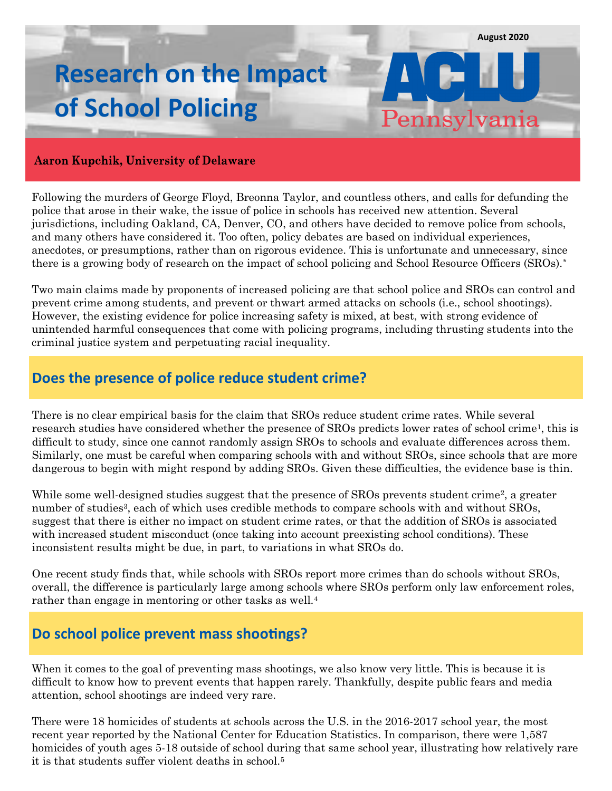Pennsylvania

# **Research on the Impact of School Policing**

#### **Aaron Kupchik, University of Delaware**

Following the murders of George Floyd, Breonna Taylor, and countless others, and calls for defunding the police that arose in their wake, the issue of police in schools has received new attention. Several jurisdictions, including Oakland, CA, Denver, CO, and others have decided to remove police from schools, and many others have considered it. Too often, policy debates are based on individual experiences, anecdotes, or presumptions, rather than on rigorous evidence. This is unfortunate and unnecessary, since there is a growing body of research on the impact of school policing and School Resource Officers (SROs).\*

Two main claims made by proponents of increased policing are that school police and SROs can control and prevent crime among students, and prevent or thwart armed attacks on schools (i.e., school shootings). However, the existing evidence for police increasing safety is mixed, at best, with strong evidence of unintended harmful consequences that come with policing programs, including thrusting students into the criminal justice system and perpetuating racial inequality.

### **Does the presence of police reduce student crime?**

There is no clear empirical basis for the claim that SROs reduce student crime rates. While several research studies have considered whether the presence of SROs predicts lower rates of school crime1, this is difficult to study, since one cannot randomly assign SROs to schools and evaluate differences across them. Similarly, one must be careful when comparing schools with and without SROs, since schools that are more dangerous to begin with might respond by adding SROs. Given these difficulties, the evidence base is thin.

While some well-designed studies suggest that the presence of SROs prevents student crime<sup>2</sup>, a greater number of studies<sup>3</sup>, each of which uses credible methods to compare schools with and without SROs, suggest that there is either no impact on student crime rates, or that the addition of SROs is associated with increased student misconduct (once taking into account preexisting school conditions). These inconsistent results might be due, in part, to variations in what SROs do.

One recent study finds that, while schools with SROs report more crimes than do schools without SROs, overall, the difference is particularly large among schools where SROs perform only law enforcement roles, rather than engage in mentoring or other tasks as well.<sup>4</sup>

#### **Do school police prevent mass shootings?**

When it comes to the goal of preventing mass shootings, we also know very little. This is because it is difficult to know how to prevent events that happen rarely. Thankfully, despite public fears and media attention, school shootings are indeed very rare.

There were 18 homicides of students at schools across the U.S. in the 2016-2017 school year, the most recent year reported by the National Center for Education Statistics. In comparison, there were 1,587 homicides of youth ages 5-18 outside of school during that same school year, illustrating how relatively rare it is that students suffer violent deaths in school.5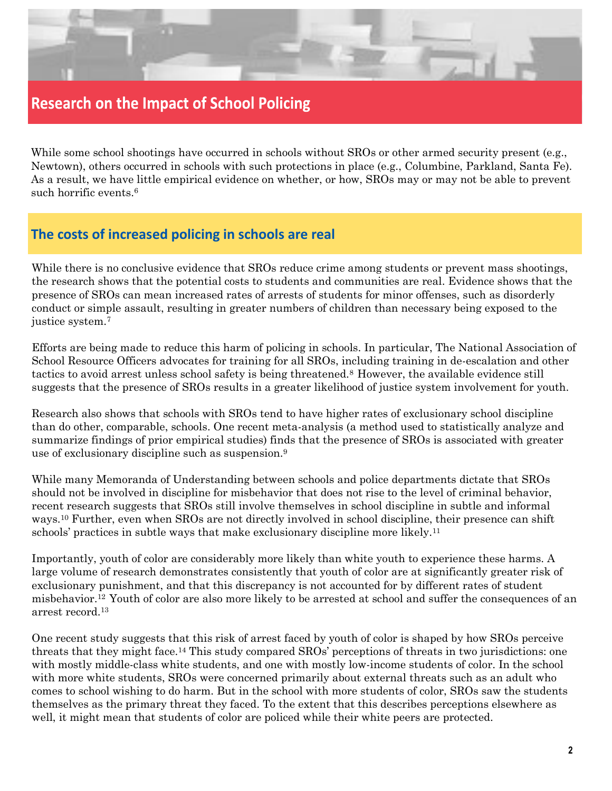

## **Research on the Impact of School Policing**

While some school shootings have occurred in schools without SROs or other armed security present (e.g., Newtown), others occurred in schools with such protections in place (e.g., Columbine, Parkland, Santa Fe). As a result, we have little empirical evidence on whether, or how, SROs may or may not be able to prevent such horrific events.6

### **The costs of increased policing in schools are real**

While there is no conclusive evidence that SROs reduce crime among students or prevent mass shootings, the research shows that the potential costs to students and communities are real. Evidence shows that the presence of SROs can mean increased rates of arrests of students for minor offenses, such as disorderly conduct or simple assault, resulting in greater numbers of children than necessary being exposed to the justice system.<sup>7</sup>

Efforts are being made to reduce this harm of policing in schools. In particular, The National Association of School Resource Officers advocates for training for all SROs, including training in de-escalation and other tactics to avoid arrest unless school safety is being threatened.8 However, the available evidence still suggests that the presence of SROs results in a greater likelihood of justice system involvement for youth.

Research also shows that schools with SROs tend to have higher rates of exclusionary school discipline than do other, comparable, schools. One recent meta-analysis (a method used to statistically analyze and summarize findings of prior empirical studies) finds that the presence of SROs is associated with greater use of exclusionary discipline such as suspension.<sup>9</sup>

While many Memoranda of Understanding between schools and police departments dictate that SROs should not be involved in discipline for misbehavior that does not rise to the level of criminal behavior, recent research suggests that SROs still involve themselves in school discipline in subtle and informal ways.<sup>10</sup> Further, even when SROs are not directly involved in school discipline, their presence can shift schools' practices in subtle ways that make exclusionary discipline more likely.<sup>11</sup>

Importantly, youth of color are considerably more likely than white youth to experience these harms. A large volume of research demonstrates consistently that youth of color are at significantly greater risk of exclusionary punishment, and that this discrepancy is not accounted for by different rates of student misbehavior.12 Youth of color are also more likely to be arrested at school and suffer the consequences of an arrest record.<sup>13</sup>

One recent study suggests that this risk of arrest faced by youth of color is shaped by how SROs perceive threats that they might face.<sup>14</sup> This study compared SROs' perceptions of threats in two jurisdictions: one with mostly middle-class white students, and one with mostly low-income students of color. In the school with more white students, SROs were concerned primarily about external threats such as an adult who comes to school wishing to do harm. But in the school with more students of color, SROs saw the students themselves as the primary threat they faced. To the extent that this describes perceptions elsewhere as well, it might mean that students of color are policed while their white peers are protected.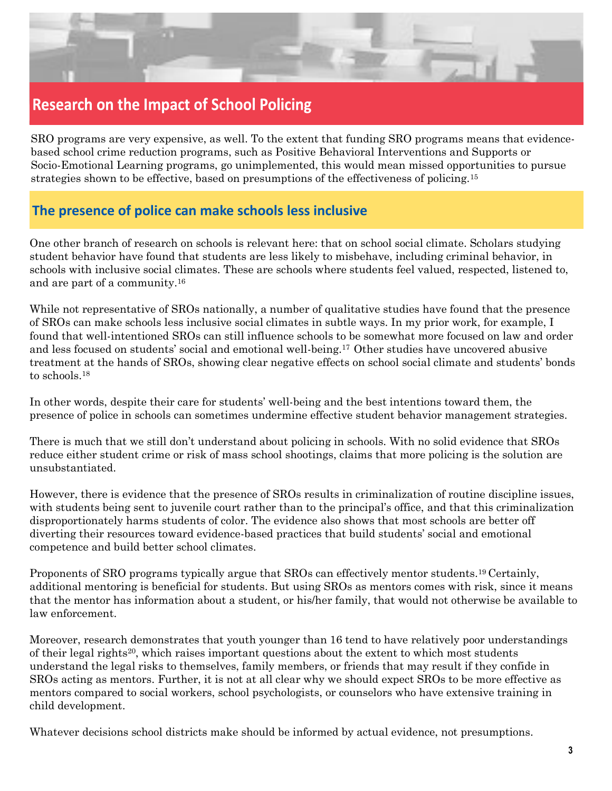

## **Research on the Impact of School Policing**

SRO programs are very expensive, as well. To the extent that funding SRO programs means that evidencebased school crime reduction programs, such as Positive Behavioral Interventions and Supports or Socio-Emotional Learning programs, go unimplemented, this would mean missed opportunities to pursue strategies shown to be effective, based on presumptions of the effectiveness of policing.15

## **The presence of police can make schools less inclusive**

One other branch of research on schools is relevant here: that on school social climate. Scholars studying student behavior have found that students are less likely to misbehave, including criminal behavior, in schools with inclusive social climates. These are schools where students feel valued, respected, listened to, and are part of a community.<sup>16</sup>

While not representative of SROs nationally, a number of qualitative studies have found that the presence of SROs can make schools less inclusive social climates in subtle ways. In my prior work, for example, I found that well-intentioned SROs can still influence schools to be somewhat more focused on law and order and less focused on students' social and emotional well-being.17 Other studies have uncovered abusive treatment at the hands of SROs, showing clear negative effects on school social climate and students' bonds to schools.<sup>18</sup>

In other words, despite their care for students' well-being and the best intentions toward them, the presence of police in schools can sometimes undermine effective student behavior management strategies.

There is much that we still don't understand about policing in schools. With no solid evidence that SROs reduce either student crime or risk of mass school shootings, claims that more policing is the solution are unsubstantiated.

However, there is evidence that the presence of SROs results in criminalization of routine discipline issues, with students being sent to juvenile court rather than to the principal's office, and that this criminalization disproportionately harms students of color. The evidence also shows that most schools are better off diverting their resources toward evidence-based practices that build students' social and emotional competence and build better school climates.

Proponents of SRO programs typically argue that SROs can effectively mentor students.19 Certainly, additional mentoring is beneficial for students. But using SROs as mentors comes with risk, since it means that the mentor has information about a student, or his/her family, that would not otherwise be available to law enforcement.

Moreover, research demonstrates that youth younger than 16 tend to have relatively poor understandings of their legal rights20, which raises important questions about the extent to which most students understand the legal risks to themselves, family members, or friends that may result if they confide in SROs acting as mentors. Further, it is not at all clear why we should expect SROs to be more effective as mentors compared to social workers, school psychologists, or counselors who have extensive training in child development.

Whatever decisions school districts make should be informed by actual evidence, not presumptions.